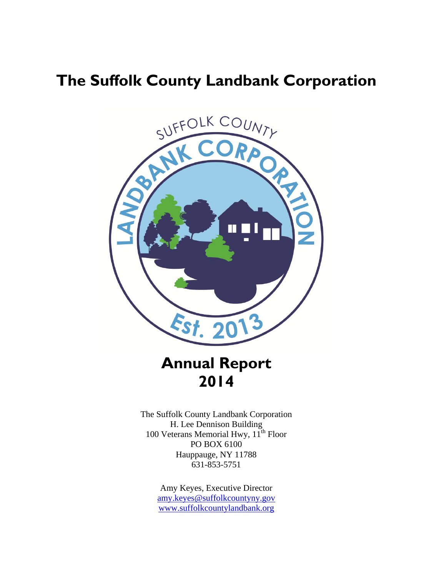# **The Suffolk County Landbank Corporation**



# **Annual Report 2014**

The Suffolk County Landbank Corporation H. Lee Dennison Building 100 Veterans Memorial Hwy,  $11^{th}$  Floor PO BOX 6100 Hauppauge, NY 11788 631-853-5751

> Amy Keyes, Executive Director amy.keyes@suffolkcountyny.gov www.suffolkcountylandbank.org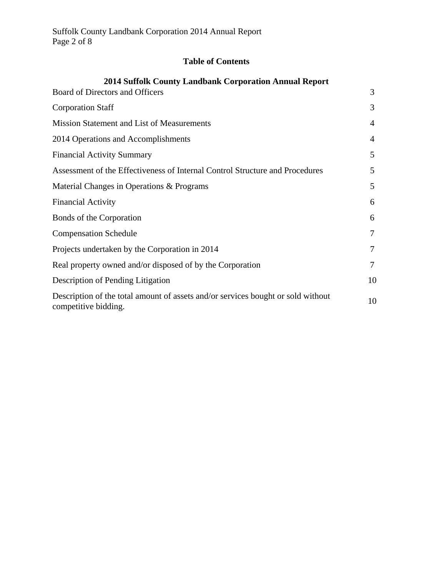# **Table of Contents**

| 2014 Suffolk County Landbank Corporation Annual Report                                                   |    |  |
|----------------------------------------------------------------------------------------------------------|----|--|
| Board of Directors and Officers                                                                          | 3  |  |
| <b>Corporation Staff</b>                                                                                 | 3  |  |
| <b>Mission Statement and List of Measurements</b>                                                        | 4  |  |
| 2014 Operations and Accomplishments                                                                      | 4  |  |
| <b>Financial Activity Summary</b>                                                                        | 5  |  |
| Assessment of the Effectiveness of Internal Control Structure and Procedures                             | 5  |  |
| Material Changes in Operations & Programs                                                                | 5  |  |
| <b>Financial Activity</b>                                                                                | 6  |  |
| Bonds of the Corporation                                                                                 | 6  |  |
| <b>Compensation Schedule</b>                                                                             | 7  |  |
| Projects undertaken by the Corporation in 2014                                                           | 7  |  |
| Real property owned and/or disposed of by the Corporation                                                | 7  |  |
| Description of Pending Litigation                                                                        | 10 |  |
| Description of the total amount of assets and/or services bought or sold without<br>competitive bidding. | 10 |  |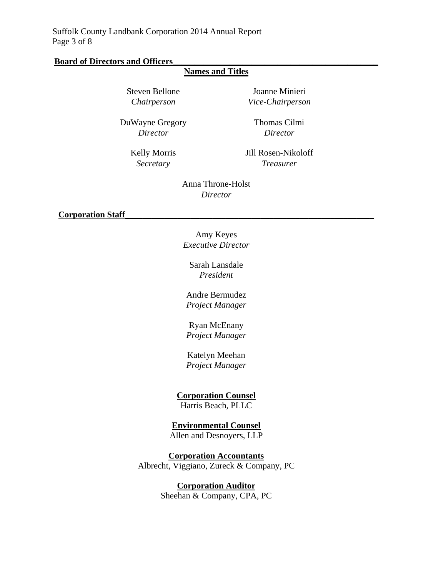#### **Board of Directors and Officers\_\_\_\_\_\_\_\_\_\_\_\_\_\_\_\_\_\_\_\_\_\_\_\_\_\_\_\_\_\_\_\_\_\_\_\_\_\_\_\_\_\_\_\_\_\_\_**

# **Names and Titles**

Steven Bellone Joanne Minieri *Chairperson Vice-Chairperson* 

DuWayne Gregory Thomas Cilmi *Director Director* 

Kelly Morris Jill Rosen-Nikoloff *Secretary Treasurer* 

> Anna Throne-Holst *Director*

**Corporation Staff\_\_\_\_\_\_\_\_\_\_\_\_\_\_\_\_\_\_\_\_\_\_\_\_\_\_\_\_\_\_\_\_\_\_\_\_\_\_\_\_\_\_\_\_\_\_\_\_\_\_\_\_\_\_\_\_\_** 

Amy Keyes *Executive Director* 

Sarah Lansdale *President* 

Andre Bermudez *Project Manager* 

Ryan McEnany *Project Manager* 

Katelyn Meehan *Project Manager* 

## **Corporation Counsel**

Harris Beach, PLLC

**Environmental Counsel**  Allen and Desnoyers, LLP

**Corporation Accountants**  Albrecht, Viggiano, Zureck & Company, PC

> **Corporation Auditor**  Sheehan & Company, CPA, PC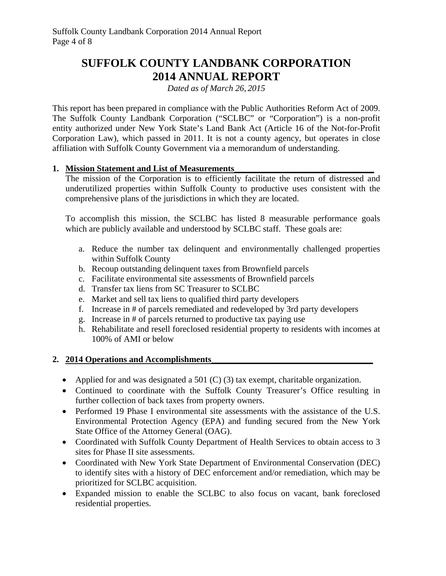# **SUFFOLK COUNTY LANDBANK CORPORATION 2014 ANNUAL REPORT**

*Dated as of March 26, 2015* 

This report has been prepared in compliance with the Public Authorities Reform Act of 2009. The Suffolk County Landbank Corporation ("SCLBC" or "Corporation") is a non-profit entity authorized under New York State's Land Bank Act (Article 16 of the Not-for-Profit Corporation Law), which passed in 2011. It is not a county agency, but operates in close affiliation with Suffolk County Government via a memorandum of understanding.

#### **1. Mission Statement and List of Measurements**

The mission of the Corporation is to efficiently facilitate the return of distressed and underutilized properties within Suffolk County to productive uses consistent with the comprehensive plans of the jurisdictions in which they are located.

To accomplish this mission, the SCLBC has listed 8 measurable performance goals which are publicly available and understood by SCLBC staff. These goals are:

- a. Reduce the number tax delinquent and environmentally challenged properties within Suffolk County
- b. Recoup outstanding delinquent taxes from Brownfield parcels
- c. Facilitate environmental site assessments of Brownfield parcels
- d. Transfer tax liens from SC Treasurer to SCLBC
- e. Market and sell tax liens to qualified third party developers
- f. Increase in # of parcels remediated and redeveloped by 3rd party developers
- g. Increase in # of parcels returned to productive tax paying use
- h. Rehabilitate and resell foreclosed residential property to residents with incomes at 100% of AMI or below

### **2. 2014 Operations and Accomplishments\_\_\_\_\_\_\_\_\_\_\_\_\_\_\_\_\_\_\_\_\_\_\_\_\_\_\_\_\_\_\_\_\_\_\_\_\_**

- Applied for and was designated a 501  $(C)$  (3) tax exempt, charitable organization.
- Continued to coordinate with the Suffolk County Treasurer's Office resulting in further collection of back taxes from property owners.
- Performed 19 Phase I environmental site assessments with the assistance of the U.S. Environmental Protection Agency (EPA) and funding secured from the New York State Office of the Attorney General (OAG).
- Coordinated with Suffolk County Department of Health Services to obtain access to 3 sites for Phase II site assessments.
- Coordinated with New York State Department of Environmental Conservation (DEC) to identify sites with a history of DEC enforcement and/or remediation, which may be prioritized for SCLBC acquisition.
- Expanded mission to enable the SCLBC to also focus on vacant, bank foreclosed residential properties.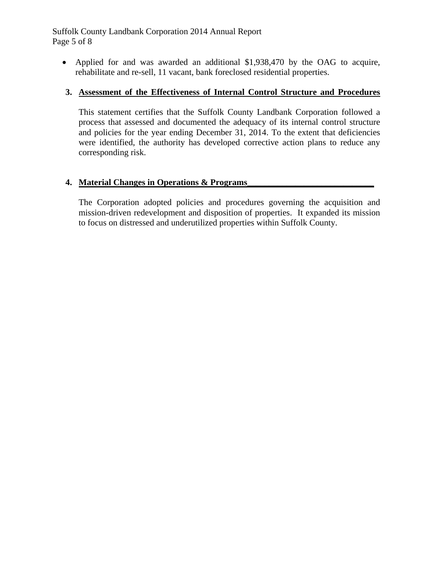Applied for and was awarded an additional \$1,938,470 by the OAG to acquire, rehabilitate and re-sell, 11 vacant, bank foreclosed residential properties.

### **3. Assessment of the Effectiveness of Internal Control Structure and Procedures**

This statement certifies that the Suffolk County Landbank Corporation followed a process that assessed and documented the adequacy of its internal control structure and policies for the year ending December 31, 2014. To the extent that deficiencies were identified, the authority has developed corrective action plans to reduce any corresponding risk.

### **4. Material Changes in Operations & Programs**

The Corporation adopted policies and procedures governing the acquisition and mission-driven redevelopment and disposition of properties. It expanded its mission to focus on distressed and underutilized properties within Suffolk County.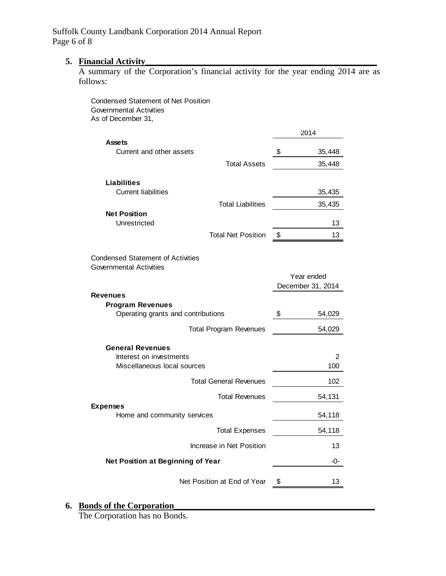#### **5.** Financial Activity

A summary of the Corporation's financial activity for the year ending 2014 are as follows:

| <b>Condensed Statement of Net Position</b><br><b>Governmental Activities</b><br>As of December 31, |      |                                 |
|----------------------------------------------------------------------------------------------------|------|---------------------------------|
|                                                                                                    | 2014 |                                 |
| <b>Assets</b>                                                                                      |      |                                 |
| Current and other assets<br><b>Total Assets</b>                                                    | \$   | 35,448                          |
|                                                                                                    |      | 35,448                          |
| <b>Liabilities</b><br><b>Current liabilities</b>                                                   |      | 35,435                          |
| <b>Total Liabilities</b>                                                                           |      | 35,435                          |
| <b>Net Position</b><br>Unrestricted                                                                |      | 13                              |
| <b>Total Net Position</b>                                                                          | \$   | 13                              |
| <b>Condensed Statement of Activities</b><br><b>Governmental Activities</b>                         |      |                                 |
|                                                                                                    |      | Year ended<br>December 31, 2014 |
| <b>Revenues</b>                                                                                    |      |                                 |
| <b>Program Revenues</b><br>Operating grants and contributions                                      | \$   | 54,029                          |
| <b>Total Program Revenues</b>                                                                      |      | 54,029                          |
| <b>General Revenues</b>                                                                            |      |                                 |
| Interest on investments<br>Miscellaneous local sources                                             |      | 2<br>100                        |
| <b>Total General Revenues</b>                                                                      |      | 102                             |
| <b>Total Revenues</b>                                                                              |      | 54,131                          |
| <b>Expenses</b><br>Home and community services                                                     |      | 54,118                          |
| <b>Total Expenses</b>                                                                              |      | 54,118                          |
| Increase in Net Position                                                                           |      | 13                              |
| Net Position at Beginning of Year                                                                  |      | -0-                             |
| Net Position at End of Year                                                                        | \$   | 13                              |

## **6. Bonds of the Corporation\_\_\_\_\_\_\_\_\_\_\_\_\_\_\_\_\_\_\_\_\_\_\_\_\_\_\_\_\_\_\_\_\_\_\_\_\_\_\_\_\_\_\_\_\_\_**

The Corporation has no Bonds.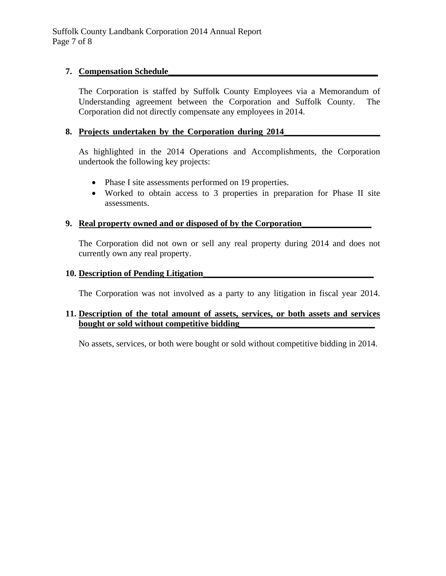#### **7. Compensation Schedule\_\_\_\_\_\_\_\_\_\_\_\_\_\_\_\_\_\_\_\_\_\_\_\_\_\_\_\_\_\_\_\_\_\_\_\_\_\_\_\_\_\_\_\_\_\_\_\_**

The Corporation is staffed by Suffolk County Employees via a Memorandum of Understanding agreement between the Corporation and Suffolk County. The Corporation did not directly compensate any employees in 2014.

#### **8. Projects undertaken by the Corporation during 2014\_\_\_\_\_\_\_\_\_\_\_\_\_\_\_\_\_\_\_\_\_\_**

As highlighted in the 2014 Operations and Accomplishments, the Corporation undertook the following key projects:

- Phase I site assessments performed on 19 properties.
- Worked to obtain access to 3 properties in preparation for Phase II site assessments.

#### **9. Real property owned and or disposed of by the Corporation\_\_\_\_\_\_\_\_\_\_\_\_\_\_\_\_**

The Corporation did not own or sell any real property during 2014 and does not currently own any real property.

#### **10. Description of Pending Litigation\_\_\_\_\_\_\_\_\_\_\_\_\_\_\_\_\_\_\_\_\_\_\_\_\_\_\_\_\_\_\_\_\_\_\_\_\_\_\_**

The Corporation was not involved as a party to any litigation in fiscal year 2014.

#### **11. Description of the total amount of assets, services, or both assets and services bought or sold without competitive bidding**

No assets, services, or both were bought or sold without competitive bidding in 2014.